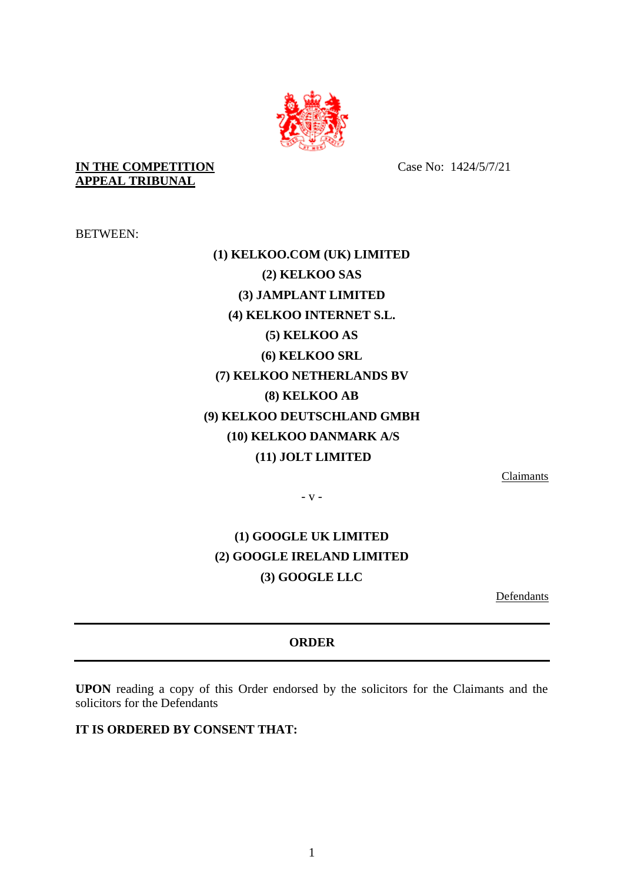

**IN THE COMPETITION APPEAL TRIBUNAL**

Case No: 1424/5/7/21

BETWEEN:

## **(1) KELKOO.COM (UK) LIMITED (2) KELKOO SAS (3) JAMPLANT LIMITED (4) KELKOO INTERNET S.L. (5) KELKOO AS (6) KELKOO SRL (7) KELKOO NETHERLANDS BV (8) KELKOO AB (9) KELKOO DEUTSCHLAND GMBH (10) KELKOO DANMARK A/S (11) JOLT LIMITED**

Claimants

- v -

## **(1) GOOGLE UK LIMITED (2) GOOGLE IRELAND LIMITED (3) GOOGLE LLC**

Defendants

## **ORDER**

**UPON** reading a copy of this Order endorsed by the solicitors for the Claimants and the solicitors for the Defendants

**IT IS ORDERED BY CONSENT THAT:**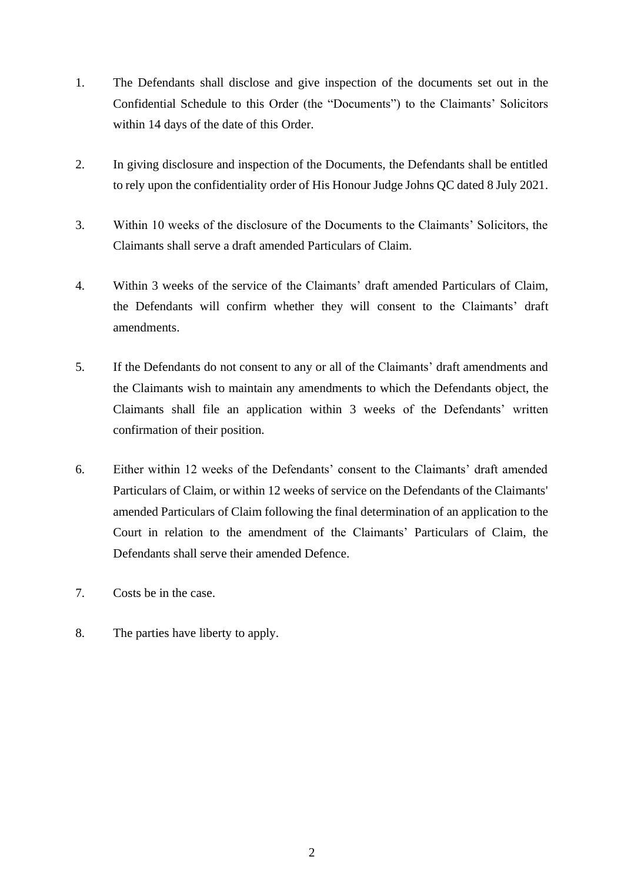- 1. The Defendants shall disclose and give inspection of the documents set out in the Confidential Schedule to this Order (the "Documents") to the Claimants' Solicitors within 14 days of the date of this Order.
- 2. In giving disclosure and inspection of the Documents, the Defendants shall be entitled to rely upon the confidentiality order of His Honour Judge Johns QC dated 8 July 2021.
- 3. Within 10 weeks of the disclosure of the Documents to the Claimants' Solicitors, the Claimants shall serve a draft amended Particulars of Claim.
- 4. Within 3 weeks of the service of the Claimants' draft amended Particulars of Claim, the Defendants will confirm whether they will consent to the Claimants' draft amendments.
- 5. If the Defendants do not consent to any or all of the Claimants' draft amendments and the Claimants wish to maintain any amendments to which the Defendants object, the Claimants shall file an application within 3 weeks of the Defendants' written confirmation of their position.
- 6. Either within 12 weeks of the Defendants' consent to the Claimants' draft amended Particulars of Claim, or within 12 weeks of service on the Defendants of the Claimants' amended Particulars of Claim following the final determination of an application to the Court in relation to the amendment of the Claimants' Particulars of Claim, the Defendants shall serve their amended Defence.
- 7. Costs be in the case.
- 8. The parties have liberty to apply.